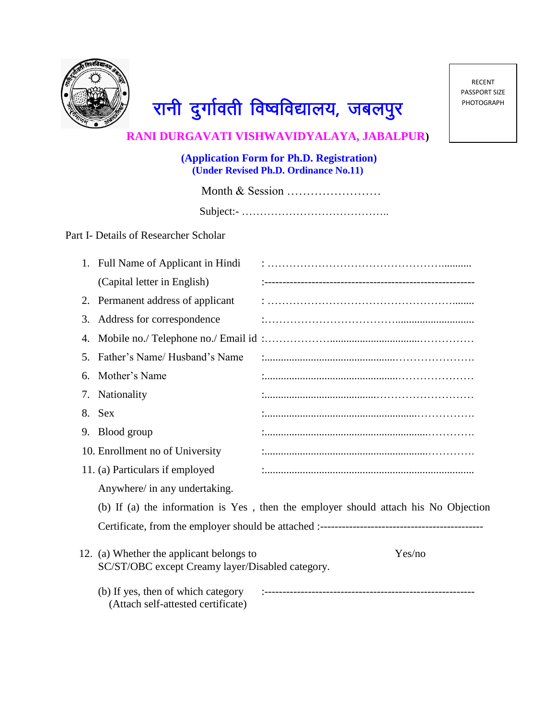

# **RANI DURGAVATI VISHWAVIDYALAYA, JABALPUR)**

#### **(Application Form for Ph.D. Registration) (Under Revised Ph.D. Ordinance No.11)**

Month & Session ……………………

Subject:- …………………………………..

Part I- Details of Researcher Scholar

| 1. | Full Name of Applicant in Hindi                                                              |                                                                                     |
|----|----------------------------------------------------------------------------------------------|-------------------------------------------------------------------------------------|
|    | (Capital letter in English)                                                                  |                                                                                     |
| 2. | Permanent address of applicant                                                               |                                                                                     |
| 3. | Address for correspondence                                                                   |                                                                                     |
| 4. |                                                                                              |                                                                                     |
| 5. | Father's Name/Husband's Name                                                                 |                                                                                     |
| 6. | Mother's Name                                                                                |                                                                                     |
| 7. | Nationality                                                                                  |                                                                                     |
| 8. | <b>Sex</b>                                                                                   |                                                                                     |
| 9. | Blood group                                                                                  |                                                                                     |
|    | 10. Enrollment no of University                                                              |                                                                                     |
|    | 11. (a) Particulars if employed                                                              |                                                                                     |
|    | Anywhere/ in any undertaking.                                                                |                                                                                     |
|    |                                                                                              | (b) If (a) the information is Yes, then the employer should attach his No Objection |
|    |                                                                                              |                                                                                     |
|    |                                                                                              |                                                                                     |
|    | 12. (a) Whether the applicant belongs to<br>SC/ST/OBC except Creamy layer/Disabled category. | Yes/no                                                                              |
|    |                                                                                              |                                                                                     |
|    | (b) If yes, then of which category                                                           |                                                                                     |
|    | (Attach self-attested certificate)                                                           |                                                                                     |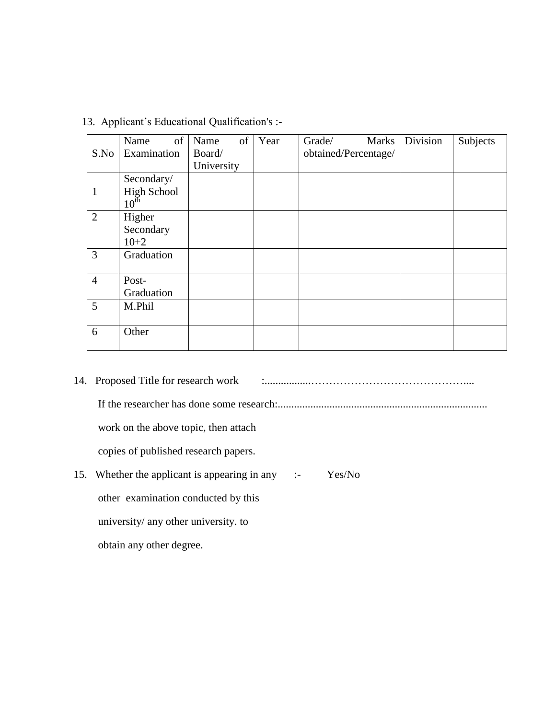|                | of<br>Name         | Name       | of | Year | Grade/               | Marks | Division | Subjects |
|----------------|--------------------|------------|----|------|----------------------|-------|----------|----------|
| S.No           | Examination        | Board/     |    |      | obtained/Percentage/ |       |          |          |
|                |                    | University |    |      |                      |       |          |          |
|                | Secondary/         |            |    |      |                      |       |          |          |
| $\mathbf{1}$   | <b>High School</b> |            |    |      |                      |       |          |          |
|                | $10^{\rm th}$      |            |    |      |                      |       |          |          |
| 2              | Higher             |            |    |      |                      |       |          |          |
|                | Secondary          |            |    |      |                      |       |          |          |
|                | $10+2$             |            |    |      |                      |       |          |          |
| 3              | Graduation         |            |    |      |                      |       |          |          |
|                |                    |            |    |      |                      |       |          |          |
| $\overline{4}$ | Post-              |            |    |      |                      |       |          |          |
|                | Graduation         |            |    |      |                      |       |          |          |
| 5              | M.Phil             |            |    |      |                      |       |          |          |
|                |                    |            |    |      |                      |       |          |          |
| 6              | Other              |            |    |      |                      |       |          |          |
|                |                    |            |    |      |                      |       |          |          |

13. Applicant's Educational Qualification's :-

 14. Proposed Title for research work :.................…………………………………….... If the researcher has done some research:............................................................................. work on the above topic, then attach copies of published research papers. 15. Whether the applicant is appearing in any :- Yes/No other examination conducted by this university/ any other university. to

obtain any other degree.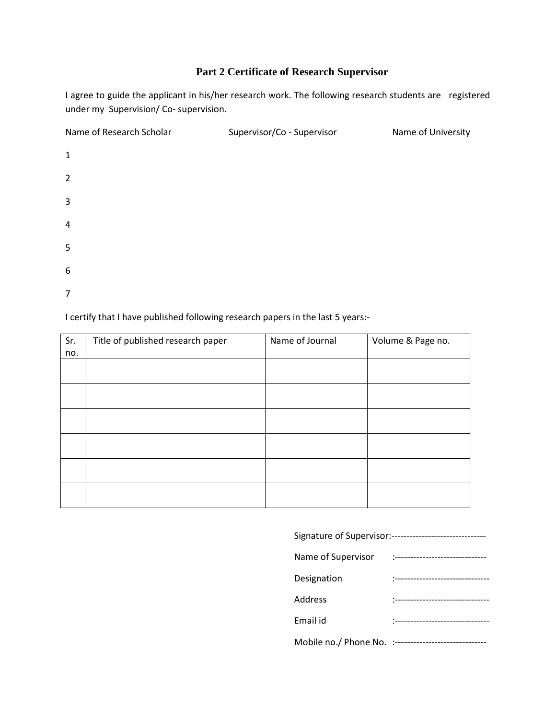# **Part 2 Certificate of Research Supervisor**

I agree to guide the applicant in his/her research work. The following research students are registered under my Supervision/ Co- supervision.

| Name of Research Scholar | Supervisor/Co - Supervisor | Name of University |
|--------------------------|----------------------------|--------------------|
| $\mathbf{1}$             |                            |                    |
| $\overline{2}$           |                            |                    |
| $\overline{3}$           |                            |                    |
| $\overline{4}$           |                            |                    |
| 5                        |                            |                    |
| 6                        |                            |                    |
| $\overline{7}$           |                            |                    |

I certify that I have published following research papers in the last 5 years:-

| Sr. | Title of published research paper | Name of Journal | Volume & Page no. |
|-----|-----------------------------------|-----------------|-------------------|
| no. |                                   |                 |                   |
|     |                                   |                 |                   |
|     |                                   |                 |                   |
|     |                                   |                 |                   |
|     |                                   |                 |                   |
|     |                                   |                 |                   |
|     |                                   |                 |                   |
|     |                                   |                 |                   |
|     |                                   |                 |                   |
|     |                                   |                 |                   |
|     |                                   |                 |                   |
|     |                                   |                 |                   |
|     |                                   |                 |                   |

| Signature of Supervisor:------------------------------- |                                                      |  |  |  |
|---------------------------------------------------------|------------------------------------------------------|--|--|--|
|                                                         | Name of Supervisor :-----------------------------    |  |  |  |
| Designation                                             | :-------------------------------                     |  |  |  |
| <b>Address</b>                                          | '-------------------------------                     |  |  |  |
| Email id                                                | *-------------------------------                     |  |  |  |
|                                                         | Mobile no./ Phone No. :----------------------------- |  |  |  |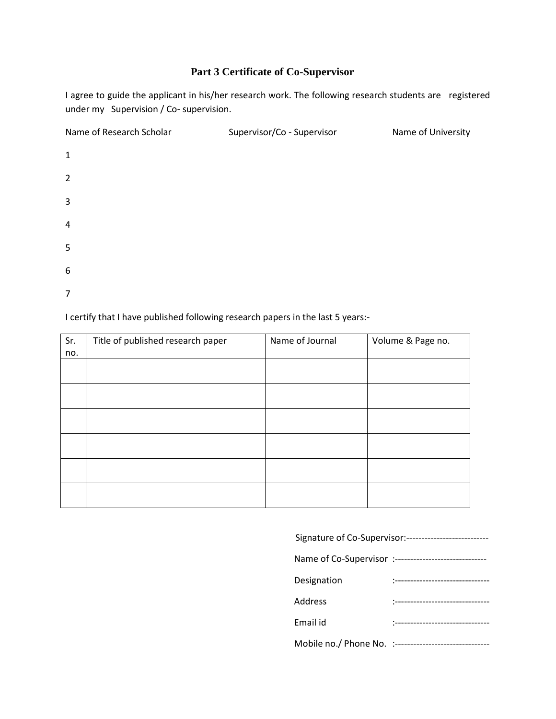# **Part 3 Certificate of Co-Supervisor**

I agree to guide the applicant in his/her research work. The following research students are registered under my Supervision / Co- supervision.

| Name of Research Scholar | Supervisor/Co - Supervisor | Name of University |
|--------------------------|----------------------------|--------------------|
| $\mathbf{1}$             |                            |                    |
| $\overline{2}$           |                            |                    |
| 3                        |                            |                    |
| $\overline{4}$           |                            |                    |
| 5                        |                            |                    |
| 6                        |                            |                    |
| $\overline{7}$           |                            |                    |

I certify that I have published following research papers in the last 5 years:-

| Sr. | Title of published research paper | Name of Journal | Volume & Page no. |
|-----|-----------------------------------|-----------------|-------------------|
| no. |                                   |                 |                   |
|     |                                   |                 |                   |
|     |                                   |                 |                   |
|     |                                   |                 |                   |
|     |                                   |                 |                   |
|     |                                   |                 |                   |
|     |                                   |                 |                   |
|     |                                   |                 |                   |
|     |                                   |                 |                   |
|     |                                   |                 |                   |
|     |                                   |                 |                   |
|     |                                   |                 |                   |
|     |                                   |                 |                   |

|             | Signature of Co-Supervisor:--------------------------  |
|-------------|--------------------------------------------------------|
|             | Name of Co-Supervisor :------------------------------- |
| Designation | :-------------------------------                       |
| Address     |                                                        |
| Fmail id    |                                                        |
|             | Mobile no./ Phone No. :------------------------------  |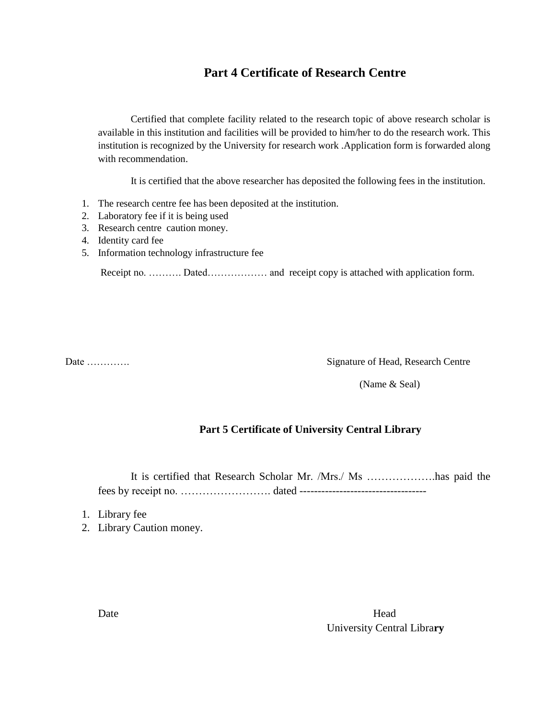## **Part 4 Certificate of Research Centre**

Certified that complete facility related to the research topic of above research scholar is available in this institution and facilities will be provided to him/her to do the research work. This institution is recognized by the University for research work .Application form is forwarded along with recommendation.

It is certified that the above researcher has deposited the following fees in the institution.

- 1. The research centre fee has been deposited at the institution.
- 2. Laboratory fee if it is being used
- 3. Research centre caution money.
- 4. Identity card fee
- 5. Information technology infrastructure fee

Receipt no. ………. Dated……………… and receipt copy is attached with application form.

Date …………. Signature of Head, Research Centre

(Name & Seal)

#### **Part 5 Certificate of University Central Library**

It is certified that Research Scholar Mr. /Mrs./ Ms ……………….has paid the fees by receipt no. ……………………. dated -----------------------------------

- 1. Library fee
- 2. Library Caution money.

Date **Head** University Central Libra**ry**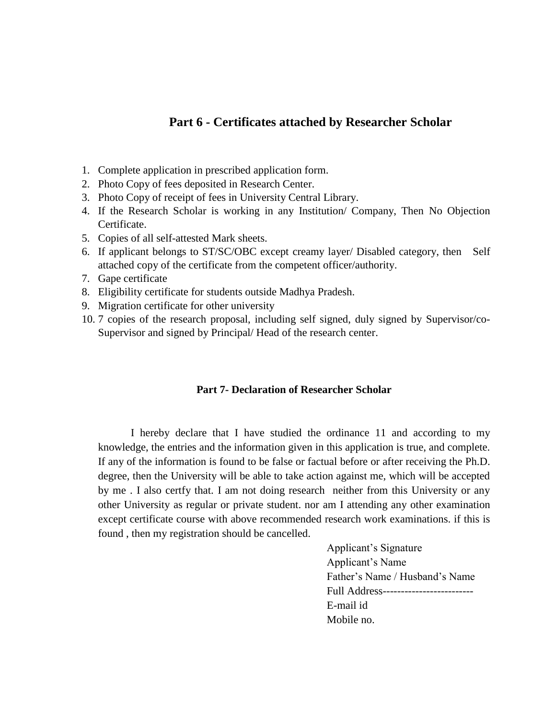#### **Part 6 - Certificates attached by Researcher Scholar**

- 1. Complete application in prescribed application form.
- 2. Photo Copy of fees deposited in Research Center.
- 3. Photo Copy of receipt of fees in University Central Library.
- 4. If the Research Scholar is working in any Institution/ Company, Then No Objection Certificate.
- 5. Copies of all self-attested Mark sheets.
- 6. If applicant belongs to ST/SC/OBC except creamy layer/ Disabled category, then Self attached copy of the certificate from the competent officer/authority.
- 7. Gape certificate
- 8. Eligibility certificate for students outside Madhya Pradesh.
- 9. Migration certificate for other university
- 10. 7 copies of the research proposal, including self signed, duly signed by Supervisor/co-Supervisor and signed by Principal/ Head of the research center.

#### **Part 7- Declaration of Researcher Scholar**

I hereby declare that I have studied the ordinance 11 and according to my knowledge, the entries and the information given in this application is true, and complete. If any of the information is found to be false or factual before or after receiving the Ph.D. degree, then the University will be able to take action against me, which will be accepted by me . I also certfy that. I am not doing research neither from this University or any other University as regular or private student. nor am I attending any other examination except certificate course with above recommended research work examinations. if this is found , then my registration should be cancelled.

> Applicant's Signature Applicant's Name Father's Name / Husband's Name Full Address------------------------- E-mail id Mobile no.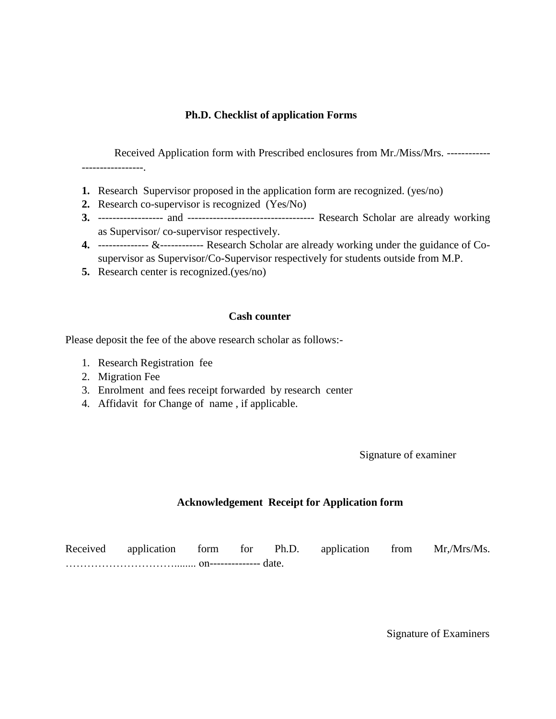#### **Ph.D. Checklist of application Forms**

Received Application form with Prescribed enclosures from Mr./Miss/Mrs. ------------ -----------------.

- **1.** Research Supervisor proposed in the application form are recognized. (yes/no)
- **2.** Research co-supervisor is recognized (Yes/No)
- **3.** ------------------ and ----------------------------------- Research Scholar are already working as Supervisor/ co-supervisor respectively.
- **4.** -------------- &------------ Research Scholar are already working under the guidance of Cosupervisor as Supervisor/Co-Supervisor respectively for students outside from M.P.
- **5.** Research center is recognized.(yes/no)

#### **Cash counter**

Please deposit the fee of the above research scholar as follows:-

- 1. Research Registration fee
- 2. Migration Fee
- 3. Enrolment and fees receipt forwarded by research center
- 4. Affidavit for Change of name , if applicable.

Signature of examiner

#### **Acknowledgement Receipt for Application form**

Received application form for Ph.D. application from Mr,/Mrs/Ms. …………………………........ on-------------- date.

Signature of Examiners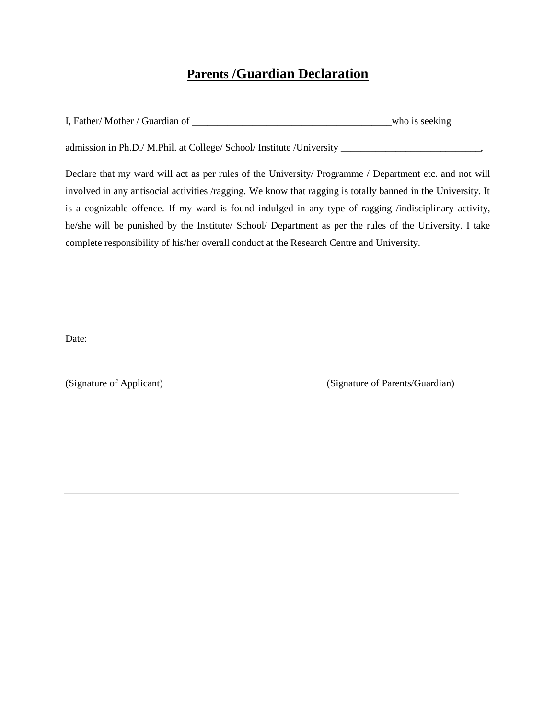# **Parents /Guardian Declaration**

| I, Father/Mother/Guardian of | who is seeking |
|------------------------------|----------------|
|                              |                |

admission in Ph.D./ M.Phil. at College/ School/ Institute /University \_\_\_\_\_\_\_\_\_\_\_\_\_\_\_\_\_\_\_\_\_\_\_\_\_\_\_\_,

Declare that my ward will act as per rules of the University/ Programme / Department etc. and not will involved in any antisocial activities /ragging. We know that ragging is totally banned in the University. It is a cognizable offence. If my ward is found indulged in any type of ragging /indisciplinary activity, he/she will be punished by the Institute/ School/ Department as per the rules of the University. I take complete responsibility of his/her overall conduct at the Research Centre and University.

Date:

(Signature of Applicant) (Signature of Parents/Guardian)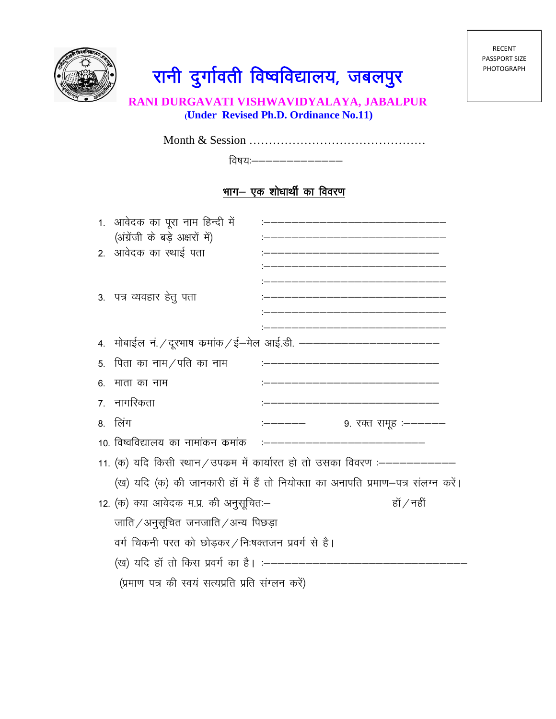



RECENT PASSPORT SIZE PHOTOGRAPH

## RANI DURGAVATI VISHWAVIDYALAYA, JABALPUR (Under Revised Ph.D. Ordinance No.11)

Month & Session  $\dots \dots \dots \dots \dots \dots \dots \dots \dots \dots \dots \dots$ 

विषय:———————

## <u>भाग— एक शोधार्थी का विवरण</u>

|             | 1. आवेदक का पूरा नाम हिन्दी में<br>(अंग्रेंजी के बड़े अक्षरों में) | ______________________________<br>__________________                                                                                                                                                                                                                                                                                        |
|-------------|--------------------------------------------------------------------|---------------------------------------------------------------------------------------------------------------------------------------------------------------------------------------------------------------------------------------------------------------------------------------------------------------------------------------------|
|             | 2. आवेदक का स्थाई पता                                              | ____________________________                                                                                                                                                                                                                                                                                                                |
|             |                                                                    |                                                                                                                                                                                                                                                                                                                                             |
|             |                                                                    | ______________________________                                                                                                                                                                                                                                                                                                              |
|             | 3. पत्र व्यवहार हेतु पता                                           | _________________________                                                                                                                                                                                                                                                                                                                   |
|             |                                                                    |                                                                                                                                                                                                                                                                                                                                             |
|             |                                                                    | ___________________________                                                                                                                                                                                                                                                                                                                 |
|             |                                                                    | 4. मोबाईल नं. / दूरभाष कमांक / ई-मेल आई.डी. -------------------------                                                                                                                                                                                                                                                                       |
|             | 5.  पिता का नाम ⁄ पति का नाम                                       | ;---------------------------                                                                                                                                                                                                                                                                                                                |
| 6.          | माता का नाम                                                        | _________________________                                                                                                                                                                                                                                                                                                                   |
| $7^{\circ}$ | नागरिकता                                                           | ____________________________                                                                                                                                                                                                                                                                                                                |
| 8.          | लिंग                                                               | 9. रक्त समूह :------<br>$\frac{1}{2}$ $\frac{1}{2}$ $\frac{1}{2}$ $\frac{1}{2}$ $\frac{1}{2}$ $\frac{1}{2}$ $\frac{1}{2}$ $\frac{1}{2}$ $\frac{1}{2}$ $\frac{1}{2}$ $\frac{1}{2}$ $\frac{1}{2}$ $\frac{1}{2}$ $\frac{1}{2}$ $\frac{1}{2}$ $\frac{1}{2}$ $\frac{1}{2}$ $\frac{1}{2}$ $\frac{1}{2}$ $\frac{1}{2}$ $\frac{1}{2}$ $\frac{1}{2}$ |
|             | 10. विष्वविद्यालय का नामांकन क्रमांक   :-                          | _______________________                                                                                                                                                                                                                                                                                                                     |
|             |                                                                    | 11. (क) यदि किसी स्थान/उपकम में कार्यारत हो तो उसका विवरण :-------------                                                                                                                                                                                                                                                                    |
|             |                                                                    | (ख) यदि (क) की जानकारी हॉ में हैं तो नियोक्ता का अनापति प्रमाण-पत्र संलग्न करें।                                                                                                                                                                                                                                                            |
|             | 12. (क) क्या आवेदक म.प्र. की अनुसूचितः–                            | हॉ / नहीं                                                                                                                                                                                                                                                                                                                                   |
|             | जाति ⁄ अनुसूचित जनजाति ⁄ अन्य पिछड़ा                               |                                                                                                                                                                                                                                                                                                                                             |
|             | वर्ग चिकनी परत को छोड़कर / निःषक्तजन प्रवर्ग से है।                |                                                                                                                                                                                                                                                                                                                                             |
|             | (ख) यदि हॉ तो किस प्रवर्ग का है। :———                              |                                                                                                                                                                                                                                                                                                                                             |
|             | (प्रमाण पत्र की स्वयं सत्यप्रति प्रति संग्लन करें)                 |                                                                                                                                                                                                                                                                                                                                             |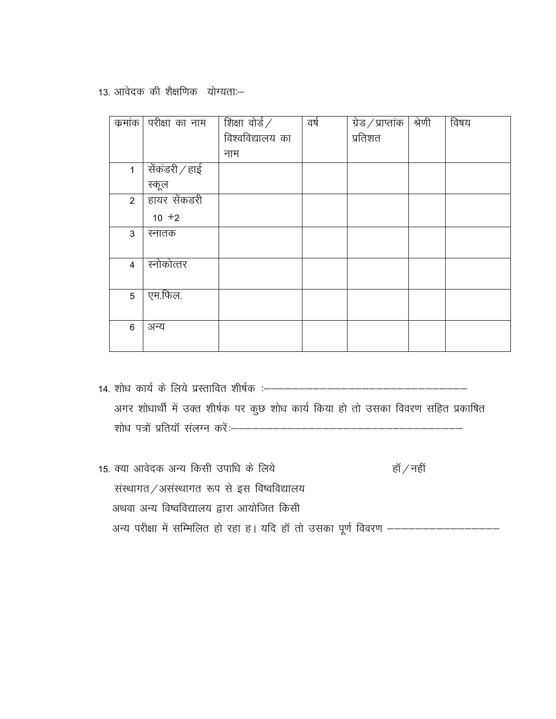13. आवेदक की शैक्षणिक योग्यता:-

| कमांक          | परीक्षा का नाम | शिक्षा वोर्ड $\diagup$ | वर्ष | ग्रेड/प्राप्तांक   श्रेणी | विषय |
|----------------|----------------|------------------------|------|---------------------------|------|
|                |                | विश्वविद्यालय का       |      | प्रतिशत                   |      |
|                |                | नाम                    |      |                           |      |
| $\mathbf{1}$   | सेंकंडरी ⁄ हाई |                        |      |                           |      |
|                | स्कूल          |                        |      |                           |      |
| 2 <sup>1</sup> | हायर सेंकडरी   |                        |      |                           |      |
|                | $10 + 2$       |                        |      |                           |      |
| 3              | स्नातक         |                        |      |                           |      |
|                |                |                        |      |                           |      |
| $\overline{4}$ | स्नोकोत्तर     |                        |      |                           |      |
|                |                |                        |      |                           |      |
| 5              | एम.फिल.        |                        |      |                           |      |
|                |                |                        |      |                           |      |
| 6              | अन्य           |                        |      |                           |      |
|                |                |                        |      |                           |      |

14. शोध कार्य के लिये प्रस्तावित शीर्षक :---------------------------------

अगर शोधार्थी में उक्त शीर्षक पर कुछ शोध कार्य किया हो तो उसका विवरण सहित प्रकाषित शोध पत्रों प्रतियॉं संलग्न करें:----------------------------------

15. क्या आवेदक अन्य किसी उपाधि के लिये हॉ / नहीं संस्थागत/असंस्थागत रूप से इस विष्वविद्यालय अथवा अन्य विष्वविद्यालय द्वारा आयोजित किसी अन्य परीक्षा में सम्मिलित हो रहा ह। यदि हॉ तो उसका पूर्ण विवरण ------------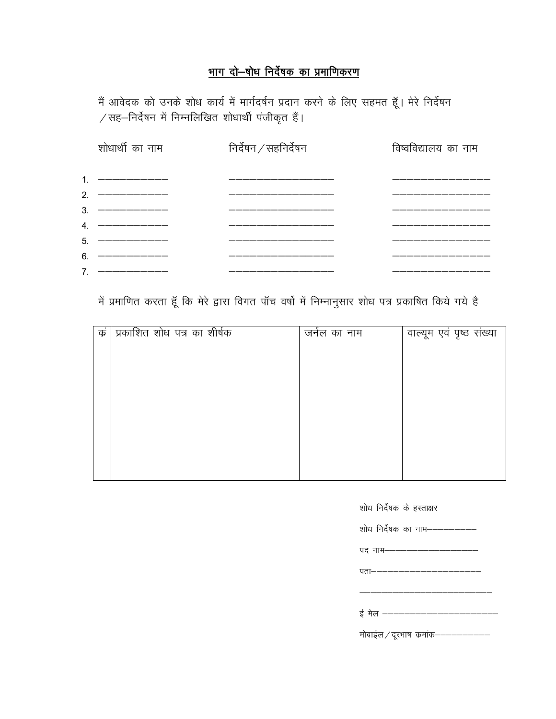## भाग दो-षोध निर्देषक का प्रमाणिकरण

मैं आवेदक को उनके शोध कार्य में मार्गदर्षन प्रदान करने के लिए सहमत हूँ। मेरे निर्देषन  $\sqrt{3}$ सह $-$ निर्देषन में निम्नलिखित शोधार्थी पंजीकृत हैं।

|                | शोधार्थी का नाम | निर्देषन / सहनिर्देषन | विष्वविद्यालय का नाम |
|----------------|-----------------|-----------------------|----------------------|
|                | ---------       |                       |                      |
| $\mathcal{P}$  | ____________    |                       |                      |
| 3 <sub>l</sub> | ____________    |                       |                      |
|                | 4. $------$     |                       |                      |
| 5 <sub>1</sub> | ___________     |                       |                      |
| 6.             | __________      |                       |                      |
|                | ___________     |                       |                      |

में प्रमाणित करता हूँ कि मेरे द्वारा विगत पॉच वर्षो में निम्नानुसार शोध पत्र प्रकाषित किये गये है

| क | प्रकाशित शोध पत्र का शीर्षक | जनेल का नाम | वाल्यूम एवं पृष्ठ संख्या |
|---|-----------------------------|-------------|--------------------------|
|   |                             |             |                          |
|   |                             |             |                          |
|   |                             |             |                          |
|   |                             |             |                          |
|   |                             |             |                          |
|   |                             |             |                          |
|   |                             |             |                          |
|   |                             |             |                          |

शोध निर्देषक के हस्ताक्षर शोध निर्देषक का नाम------------पद नाम---------------------पता-----------------------ई मेल -----------------------मोबाईल / दूरभाष कमांक-----------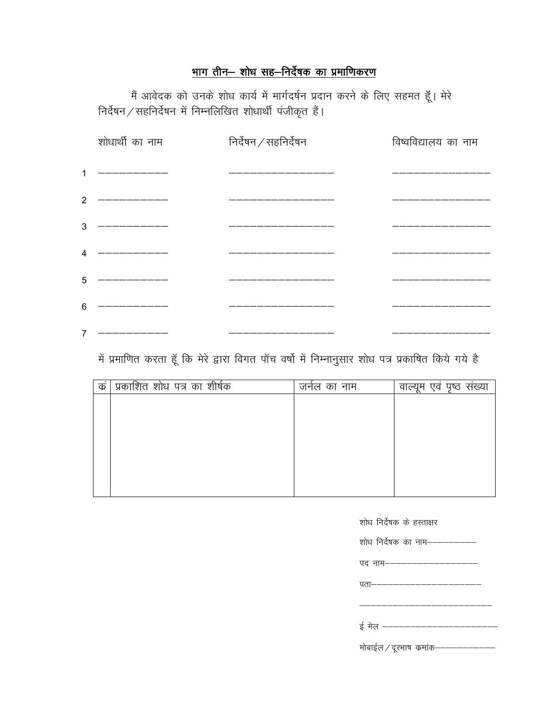## भाग तीन— शोध सह—निर्देषक का प्रमाणिकरण

मैं आवेदक को उनके शोध कार्य में मार्गदर्षन प्रदान करने के लिए सहमत हूँ। मेरे निर्देषन / सहनिर्देषन में निम्नलिखित शोधार्थी पंजीकृत हैं।

|                | शोधार्थी का नाम | निर्देषन / सहनिर्देषन | विष्वविद्यालय का नाम |
|----------------|-----------------|-----------------------|----------------------|
| 1              | ___________     |                       |                      |
| $\overline{2}$ | __________      |                       |                      |
| 3              | __________      |                       |                      |
| 4              | ___________     |                       |                      |
| 5              | ___________     |                       |                      |
| 6              | _________       |                       |                      |
| 7              |                 |                       |                      |

में प्रमाणित करता हूँ कि मेरे द्वारा विगत पॉच वर्षो में निम्नानुसार शोध पत्र प्रकाषित किये गये है

| क्र | प्रकाशित शोध पत्र का शीर्षक | जनेल का नाम | . .<br>वाल्यूम एव पृष्ठ सख्या |
|-----|-----------------------------|-------------|-------------------------------|
|     |                             |             |                               |
|     |                             |             |                               |
|     |                             |             |                               |
|     |                             |             |                               |
|     |                             |             |                               |
|     |                             |             |                               |
|     |                             |             |                               |

शोध निर्देषक के हस्ताक्षर शोध निर्देषक का नाम------------पद नाम----------------पता-------------------ई मेल -----------------------मोबाईल / दूरभाष कमांक------------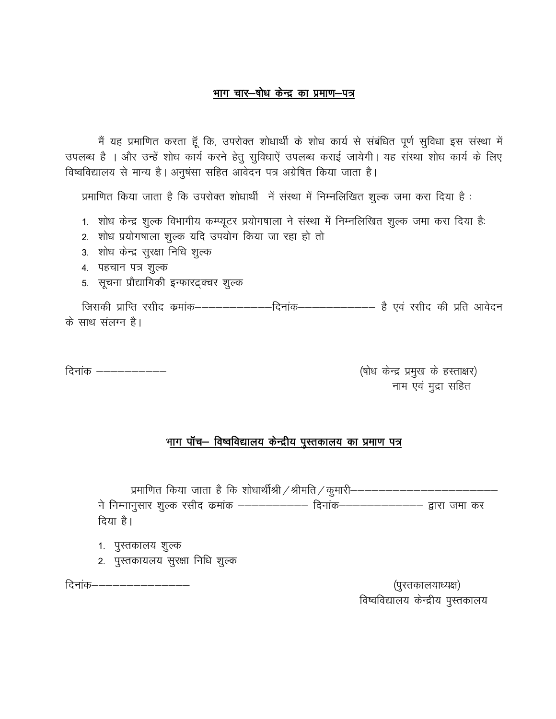### भाग चार-षोध केन्द्र का प्रमाण-पत्र

मैं यह प्रमाणित करता हूँ कि, उपरोक्त शोधार्थी के शोध कार्य से संबंधित पूर्ण सुविधा इस संस्था में उपलब्ध है । और उन्हें शोध कार्य करने हेतू सुविधाऐं उपलब्ध कराई जायेगी। यह संस्था शोध कार्य के लिए विष्वविद्यालय से मान्य है। अनुषंसा सहित आवेदन पत्र अग्रेषित किया जाता है।

प्रमाणित किया जाता है कि उपरोक्त शोधार्थी नें संस्था में निम्नलिखित शुल्क जमा करा दिया है:

- 1. शोध केन्द्र शुल्क विभागीय कम्प्यूटर प्रयोगषाला ने संस्था में निम्नलिखित शुल्क जमा करा दिया है:
- 2. शोध प्रयोगषाला शुल्क यदि उपयोग किया जा रहा हो तो
- 3. शोध केन्द्र सुरक्षा निधि शुल्क
- 4. पहचान पत्र शुल्क
- 5. सूचना प्रौद्यागिकी इन्फारद्दक्चर शुल्क

जिसकी प्राप्ति रसीद क्रमांक—————————दिनांक—————————— है एवं रसीद की प्रति आवेदन के साथ संलग्न है।

दिनांक —————————

(षोध केन्द्र प्रमुख के हस्ताक्षर) नाम एवं मुद्रा सहित

### भाग पॉच- विष्वविद्यालय केन्द्रीय पुस्तकालय का प्रमाण पत्र

प्रमाणित किया जाता है कि शोधार्थीश्री / श्रीमति / कुमारी———————— .<br>ने निम्नानुसार शुल्क रसीद कमांक ———————— दिनांक————————— द्वारा जमा कर दिया है।

- 1. पुस्तकालय शुल्क
- 2. पुस्तकायलय सुरक्षा निधि शुल्क

दिनांक——————————

(पुस्तकालयाध्यक्ष) विष्वविद्यालय केन्द्रीय पुस्तकालय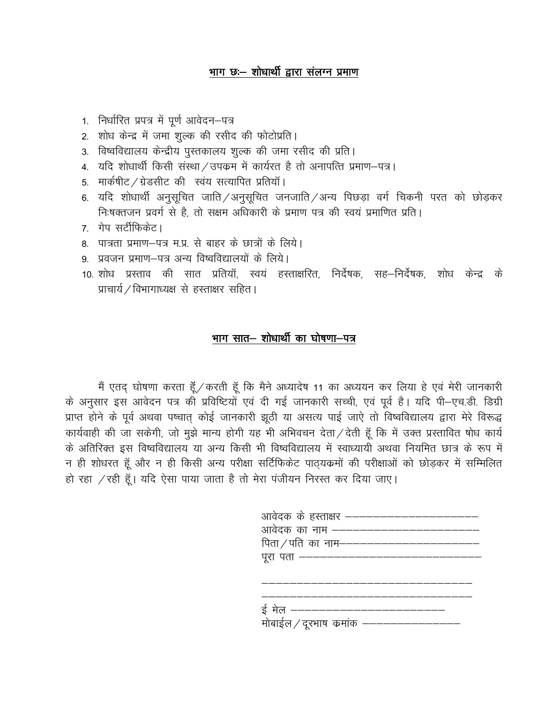## भाग छः- शोधार्थी द्वारा संलग्न प्रमाण

- 1. निर्धारित प्रपत्र में पूर्ण आवेदन–पत्र
- 2. शोध केन्द्र में जमा शुल्क की रसीद की फोटोप्रति।
- 3. विष्वविद्यालय केन्द्रीय पुस्तकालय शुल्क की जमा रसीद की प्रति।
- 4. यदि शोधार्थी किसी संस्था / उपक्रम में कार्यरत है तो अनापत्ति प्रमाण–पत्र।
- 5. मार्कषीट ⁄ ग्रेडसीट की स्वंय सत्यापित प्रतियॉ।
- 6. यदि शोधार्थी अनुसूचित जाति / अनुसूचित जनजाति / अन्य पिछड़ा वर्ग चिकनी परत को छोड़कर निःषक्तजन प्रवर्ग से है, तो सक्षम अधिकारी के प्रमाण पत्र की स्वयं प्रमाणित प्रति।
- 7. गेप सर्टीफिकेट।
- 8. पात्रता प्रमाण—पत्र म.प्र. से बाहर के छात्रों के लिये।
- 9. प्रवजन प्रमाण-पत्र अन्य विष्वविद्यालयों के लिये।
- 10. शोध प्रस्ताव की सात प्रतियॉ, स्वयं हस्ताक्षरित, निर्देषक, सह—निर्देषक, शोध केन्द्र के प्राचार्य / विभागाध्यक्ष से हस्ताक्षर सहित ।

## भाग सात– शोधार्थी का घोषणा–पत्र

मैं एतद् घोषणा करता हूँ / करती हूँ कि मैने अध्यादेष 11 का अध्ययन कर लिया हे एवं मेरी जानकारी के अनुसार इस आवेदन पत्र की प्रविष्टियों एवं दी गई जानकारी सच्ची, एवं पूर्व है। यदि पी-एच.डी. डिग्री प्राप्त होने के पूर्व अथवा पष्चात् कोई जानकारी झूठी या असत्य पाई जाऐ तो विष्वविद्यालय द्वारा मेरे विरूद्ध कार्यवाही की जा सकेगी, जो मुझे मान्य होगी यह भी अभिवचन देता / देती हूँ कि में उक्त प्रस्तावित षोध कार्य के अतिरिक्त इस विष्वविद्यालय या अन्य किसी भी विष्वविद्यालय में स्वाध्यायी अथवा नियमित छात्र के रूप में न ही शोधरत हूँ और न ही किसी अन्य परीक्षा सर्टिफिकेट पाठ्यक्रमों की परीक्षाओं को छोड़कर में सम्मिलित हो रहा / रही हूँ। यदि ऐसा पाया जाता है तो मेरा पंजीयन निरस्त कर दिया जाए।

| आवेदक के हस्ताक्षर ———     |
|----------------------------|
| आवेदक का नाम ---------     |
| पिता / पति का नाम--------- |
| पूरा पता ----------        |
|                            |
|                            |
|                            |
| ई मेल —————————————        |
| मोबाईल / दूरभाष कमांक ––   |